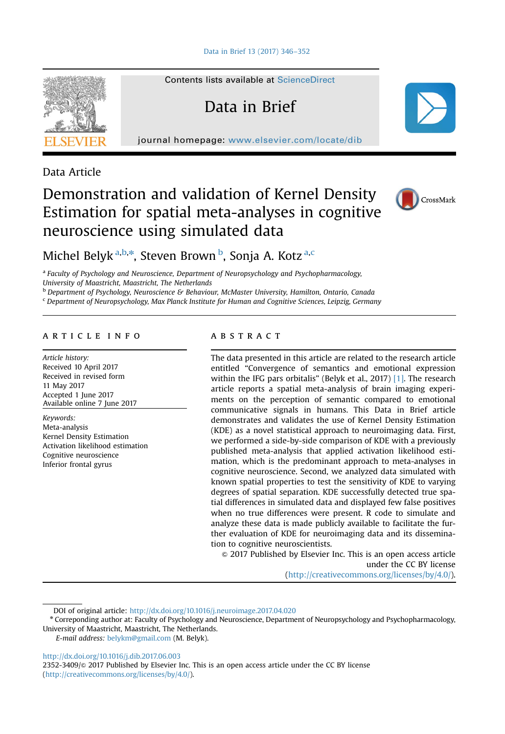

Contents lists available at [ScienceDirect](www.sciencedirect.com/science/journal/23523409)

# Data in Brief

journal homepage: <www.elsevier.com/locate/dib>

Data Article

# Demonstration and validation of Kernel Density Estimation for spatial meta-analyses in cognitive neuroscience using simulated data



Michel Belyk <sup>a,b,\*</sup>, Steven Brown <sup>b</sup>, Sonja A. Kotz <sup>a,c</sup>

<sup>a</sup> Faculty of Psychology and Neuroscience, Department of Neuropsychology and Psychopharmacology, University of Maastricht, Maastricht, The Netherlands

**b Department of Psychology, Neuroscience & Behaviour, McMaster University, Hamilton, Ontario, Canada** 

<sup>c</sup> Department of Neuropsychology, Max Planck Institute for Human and Cognitive Sciences, Leipzig, Germany

## article info

Article history: Received 10 April 2017 Received in revised form 11 May 2017 Accepted 1 June 2017 Available online 7 June 2017

Keywords: Meta-analysis Kernel Density Estimation Activation likelihood estimation Cognitive neuroscience Inferior frontal gyrus

## **ABSTRACT**

The data presented in this article are related to the research article entitled "Convergence of semantics and emotional expression within the IFG pars orbitalis" (Belyk et al., 2017) [\[1\]](#page-5-0). The research article reports a spatial meta-analysis of brain imaging experiments on the perception of semantic compared to emotional communicative signals in humans. This Data in Brief article demonstrates and validates the use of Kernel Density Estimation (KDE) as a novel statistical approach to neuroimaging data. First, we performed a side-by-side comparison of KDE with a previously published meta-analysis that applied activation likelihood estimation, which is the predominant approach to meta-analyses in cognitive neuroscience. Second, we analyzed data simulated with known spatial properties to test the sensitivity of KDE to varying degrees of spatial separation. KDE successfully detected true spatial differences in simulated data and displayed few false positives when no true differences were present. R code to simulate and analyze these data is made publicly available to facilitate the further evaluation of KDE for neuroimaging data and its dissemination to cognitive neuroscientists.

 $\odot$  2017 Published by Elsevier Inc. This is an open access article under the CC BY license (http://creativecommons.org/licenses/by/4.0/).

DOI of original article: http://dx.doi.org/10.1016/j.neuroimage.2017.04.020

E-mail address: [belykm@gmail.com](mailto:belykm@gmail.com) (M. Belyk).

<http://dx.doi.org/10.1016/j.dib.2017.06.003>

2352-3409/ $\otimes$  2017 Published by Elsevier Inc. This is an open access article under the CC BY license (http://creativecommons.org/licenses/by/4.0/).

<sup>n</sup> Correponding author at: Faculty of Psychology and Neuroscience, Department of Neuropsychology and Psychopharmacology, University of Maastricht, Maastricht, The Netherlands.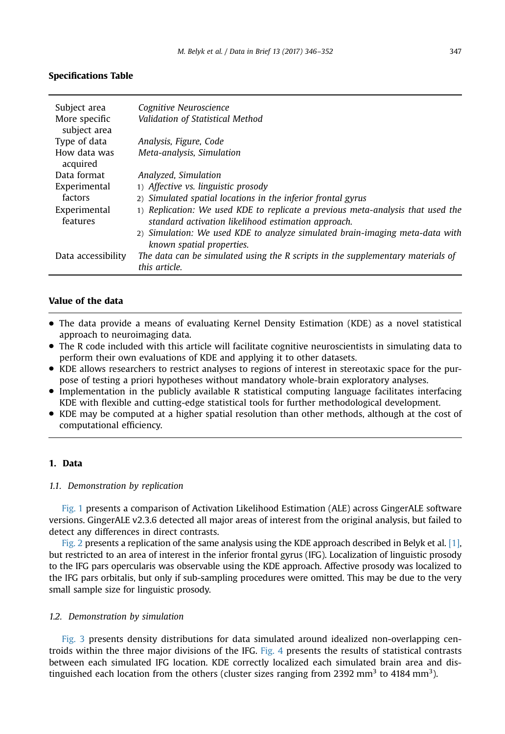## <span id="page-1-0"></span>Specifications Table

| Subject area<br>More specific<br>subject area | Cognitive Neuroscience<br>Validation of Statistical Method                                                                             |
|-----------------------------------------------|----------------------------------------------------------------------------------------------------------------------------------------|
| Type of data                                  | Analysis, Figure, Code                                                                                                                 |
| How data was<br>acquired                      | Meta-analysis, Simulation                                                                                                              |
| Data format                                   | Analyzed, Simulation                                                                                                                   |
| Experimental                                  | 1) Affective vs. linguistic prosody                                                                                                    |
| factors                                       | 2) Simulated spatial locations in the inferior frontal gyrus                                                                           |
| Experimental<br>features                      | 1) Replication: We used KDE to replicate a previous meta-analysis that used the<br>standard activation likelihood estimation approach. |
|                                               | 2) Simulation: We used KDE to analyze simulated brain-imaging meta-data with<br>known spatial properties.                              |
| Data accessibility                            | The data can be simulated using the R scripts in the supplementary materials of<br>this article.                                       |

# Value of the data

- The data provide a means of evaluating Kernel Density Estimation (KDE) as a novel statistical approach to neuroimaging data.
- The R code included with this article will facilitate cognitive neuroscientists in simulating data to perform their own evaluations of KDE and applying it to other datasets.
- KDE allows researchers to restrict analyses to regions of interest in stereotaxic space for the purpose of testing a priori hypotheses without mandatory whole-brain exploratory analyses.
- Implementation in the publicly available R statistical computing language facilitates interfacing KDE with flexible and cutting-edge statistical tools for further methodological development.
- KDE may be computed at a higher spatial resolution than other methods, although at the cost of computational efficiency.

#### 1. Data

## 1.1. Demonstration by replication

[Fig. 1](#page-2-0) presents a comparison of Activation Likelihood Estimation (ALE) across GingerALE software versions. GingerALE v2.3.6 detected all major areas of interest from the original analysis, but failed to detect any differences in direct contrasts.

[Fig. 2](#page-3-0) presents a replication of the same analysis using the KDE approach described in Belyk et al. [\[1\]](#page-5-0), but restricted to an area of interest in the inferior frontal gyrus (IFG). Localization of linguistic prosody to the IFG pars opercularis was observable using the KDE approach. Affective prosody was localized to the IFG pars orbitalis, but only if sub-sampling procedures were omitted. This may be due to the very small sample size for linguistic prosody.

#### 1.2. Demonstration by simulation

[Fig. 3](#page-3-0) presents density distributions for data simulated around idealized non-overlapping centroids within the three major divisions of the IFG. [Fig. 4](#page-4-0) presents the results of statistical contrasts between each simulated IFG location. KDE correctly localized each simulated brain area and distinguished each location from the others (cluster sizes ranging from 2392 mm<sup>3</sup> to 4184 mm<sup>3</sup>).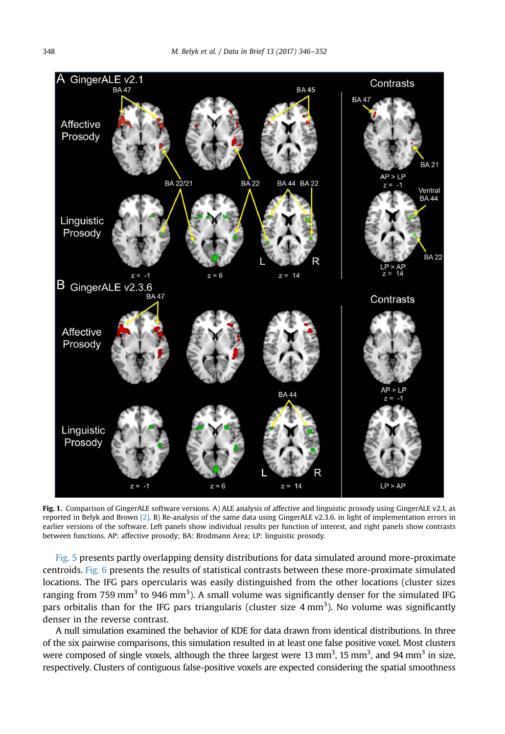<span id="page-2-0"></span>

Fig. 1. Comparison of GingerALE software versions. A) ALE analysis of affective and linguistic prosody using GingerALE v2.1, as reported in Belyk and Brown [\[2\]](#page-6-0). B) Re-analysis of the same data using GingerALE v2.3.6. in light of implementation errors in earlier versions of the software. Left panels show individual results per function of interest, and right panels show contrasts between functions. AP: affective prosody; BA: Brodmann Area; LP: linguistic prosody.

[Fig. 5](#page-4-0) presents partly overlapping density distributions for data simulated around more-proximate centroids. [Fig. 6](#page-5-0) presents the results of statistical contrasts between these more-proximate simulated locations. The IFG pars opercularis was easily distinguished from the other locations (cluster sizes ranging from 759 mm<sup>3</sup> to 946 mm<sup>3</sup>). A small volume was significantly denser for the simulated IFG pars orbitalis than for the IFG pars triangularis (cluster size  $4 \text{ mm}^3$ ). No volume was significantly denser in the reverse contrast.

A null simulation examined the behavior of KDE for data drawn from identical distributions. In three of the six pairwise comparisons, this simulation resulted in at least one false positive voxel. Most clusters were composed of single voxels, although the three largest were 13 mm<sup>3</sup>, 15 mm<sup>3</sup>, and 94 mm<sup>3</sup> in size, respectively. Clusters of contiguous false-positive voxels are expected considering the spatial smoothness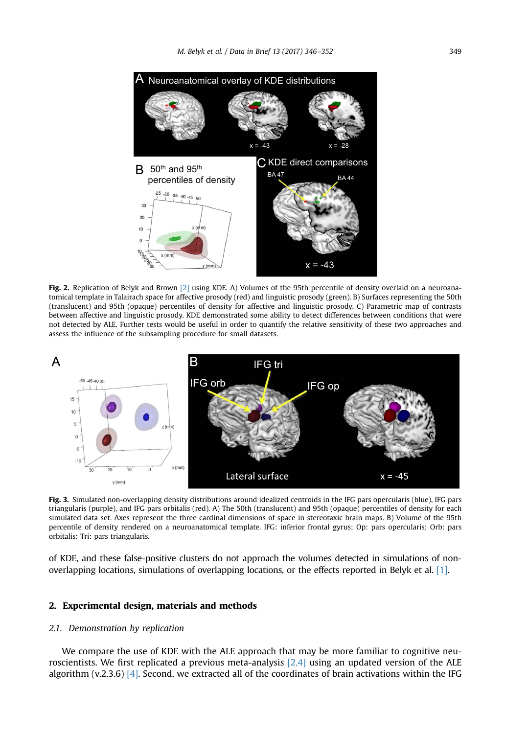<span id="page-3-0"></span>

Fig. 2. Replication of Belyk and Brown [\[2\]](#page-6-0) using KDE. A) Volumes of the 95th percentile of density overlaid on a neuroanatomical template in Talairach space for affective prosody (red) and linguistic prosody (green). B) Surfaces representing the 50th (translucent) and 95th (opaque) percentiles of density for affective and linguistic prosody. C) Parametric map of contrasts between affective and linguistic prosody. KDE demonstrated some ability to detect differences between conditions that were not detected by ALE. Further tests would be useful in order to quantify the relative sensitivity of these two approaches and assess the influence of the subsampling procedure for small datasets.



Fig. 3. Simulated non-overlapping density distributions around idealized centroids in the IFG pars opercularis (blue), IFG pars triangularis (purple), and IFG pars orbitalis (red). A) The 50th (translucent) and 95th (opaque) percentiles of density for each simulated data set. Axes represent the three cardinal dimensions of space in stereotaxic brain maps. B) Volume of the 95th percentile of density rendered on a neuroanatomical template. IFG: inferior frontal gyrus; Op: pars opercularis; Orb: pars orbitalis: Tri: pars triangularis.

of KDE, and these false-positive clusters do not approach the volumes detected in simulations of nonoverlapping locations, simulations of overlapping locations, or the effects reported in Belyk et al. [\[1\].](#page-5-0)

## 2. Experimental design, materials and methods

#### 2.1. Demonstration by replication

We compare the use of KDE with the ALE approach that may be more familiar to cognitive neuroscientists. We first replicated a previous meta-analysis [\[2,4\]](#page-6-0) using an updated version of the ALE algorithm (v.2.3.6) [\[4\]](#page-6-0). Second, we extracted all of the coordinates of brain activations within the IFG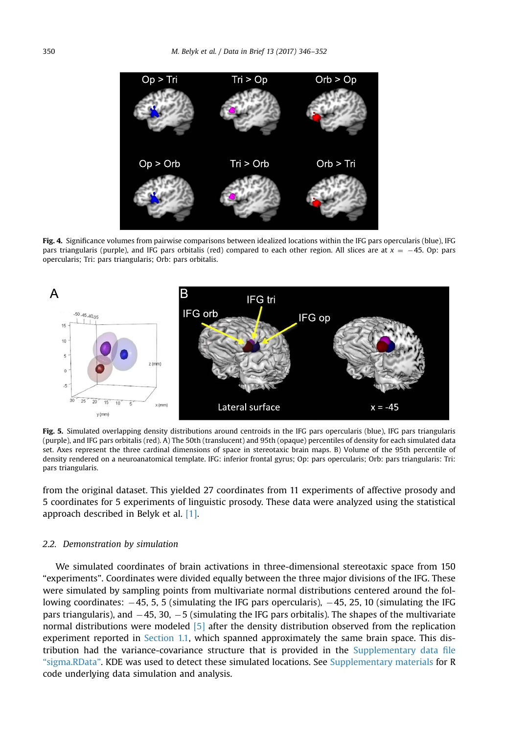<span id="page-4-0"></span>

Fig. 4. Significance volumes from pairwise comparisons between idealized locations within the IFG pars opercularis (blue), IFG pars triangularis (purple), and IFG pars orbitalis (red) compared to each other region. All slices are at  $x = -45$ . Op: pars opercularis; Tri: pars triangularis; Orb: pars orbitalis.



Fig. 5. Simulated overlapping density distributions around centroids in the IFG pars opercularis (blue), IFG pars triangularis (purple), and IFG pars orbitalis (red). A) The 50th (translucent) and 95th (opaque) percentiles of density for each simulated data set. Axes represent the three cardinal dimensions of space in stereotaxic brain maps. B) Volume of the 95th percentile of density rendered on a neuroanatomical template. IFG: inferior frontal gyrus; Op: pars opercularis; Orb: pars triangularis: Tri: pars triangularis.

from the original dataset. This yielded 27 coordinates from 11 experiments of affective prosody and 5 coordinates for 5 experiments of linguistic prosody. These data were analyzed using the statistical approach described in Belyk et al. [\[1\].](#page-5-0)

#### 2.2. Demonstration by simulation

We simulated coordinates of brain activations in three-dimensional stereotaxic space from 150 "experiments". Coordinates were divided equally between the three major divisions of the IFG. These were simulated by sampling points from multivariate normal distributions centered around the following coordinates:  $-45$ , 5, 5 (simulating the IFG pars opercularis),  $-45$ , 25, 10 (simulating the IFG pars triangularis), and  $-45$ , 30,  $-5$  (simulating the IFG pars orbitalis). The shapes of the multivariate normal distributions were modeled [\[5\]](#page-6-0) after the density distribution observed from the replication experiment reported in [Section 1.1,](#page-1-0) which spanned approximately the same brain space. This distribution had the variance-covariance structure that is provided in the [Supplementary data](#page-5-0) file "[sigma.RData](#page-5-0)". KDE was used to detect these simulated locations. See [Supplementary materials](#page-5-0) for R code underlying data simulation and analysis.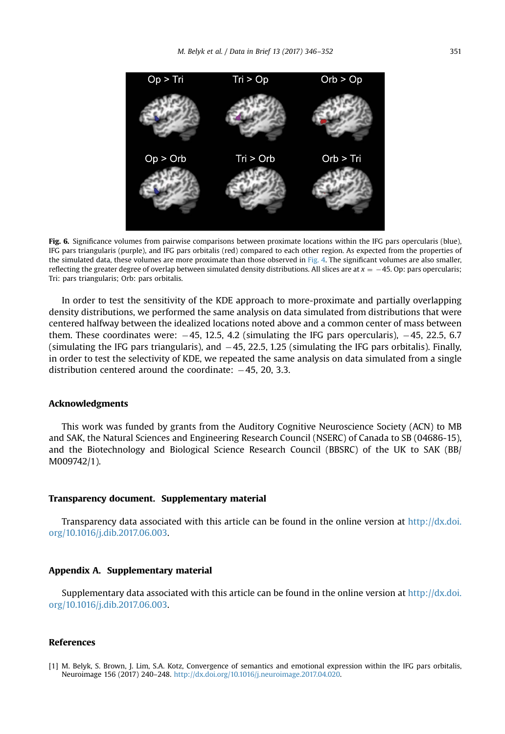<span id="page-5-0"></span>

Fig. 6. Significance volumes from pairwise comparisons between proximate locations within the IFG pars opercularis (blue), IFG pars triangularis (purple), and IFG pars orbitalis (red) compared to each other region. As expected from the properties of the simulated data, these volumes are more proximate than those observed in [Fig. 4.](#page-4-0) The significant volumes are also smaller, reflecting the greater degree of overlap between simulated density distributions. All slices are at  $x = -45$ . Op: pars opercularis; Tri: pars triangularis; Orb: pars orbitalis.

In order to test the sensitivity of the KDE approach to more-proximate and partially overlapping density distributions, we performed the same analysis on data simulated from distributions that were centered halfway between the idealized locations noted above and a common center of mass between them. These coordinates were:  $-45$ , 12.5, 4.2 (simulating the IFG pars opercularis),  $-45$ , 22.5, 6.7 (simulating the IFG pars triangularis), and  $-45$ , 22.5, 1.25 (simulating the IFG pars orbitalis). Finally, in order to test the selectivity of KDE, we repeated the same analysis on data simulated from a single distribution centered around the coordinate:  $-45$ , 20, 3.3.

#### Acknowledgments

This work was funded by grants from the Auditory Cognitive Neuroscience Society (ACN) to MB and SAK, the Natural Sciences and Engineering Research Council (NSERC) of Canada to SB (04686-15), and the Biotechnology and Biological Science Research Council (BBSRC) of the UK to SAK (BB/ M009742/1).

#### Transparency document. Supplementary material

Transparency data associated with this article can be found in the online version at [http://dx.doi.](dx.doi.org/10.1016/j.dib.2017.06.003) [org/10.1016/j.dib.2017.06.003](dx.doi.org/10.1016/j.dib.2017.06.003).

#### Appendix A. Supplementary material

Supplementary data associated with this article can be found in the online version at [http://dx.doi.](dx.doi.org/10.1016/j.dib.2017.06.003) [org/10.1016/j.dib.2017.06.003](dx.doi.org/10.1016/j.dib.2017.06.003).

#### References

<sup>[1]</sup> M. Belyk, S. Brown, J. Lim, S.A. Kotz, Convergence of semantics and emotional expression within the IFG pars orbitalis, Neuroimage 156 (2017) 240–248. <http://dx.doi.org/10.1016/j.neuroimage.2017.04.020>.